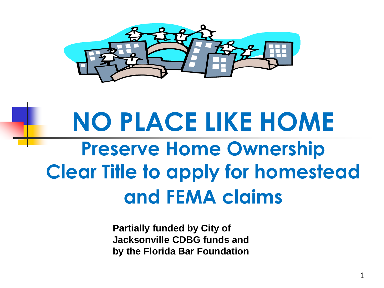

## **NO PLACE LIKE HOME Preserve Home Ownership Clear Title to apply for homestead and FEMA claims**

**Partially funded by City of Jacksonville CDBG funds and by the Florida Bar Foundation**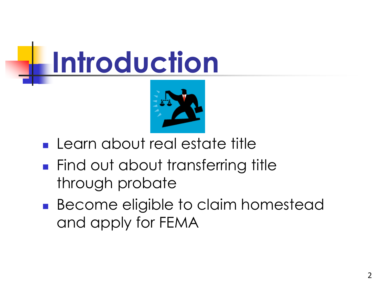

- **Learn about real estate title**
- **Find out about transferring title** through probate
- **Become eligible to claim homestead** and apply for FEMA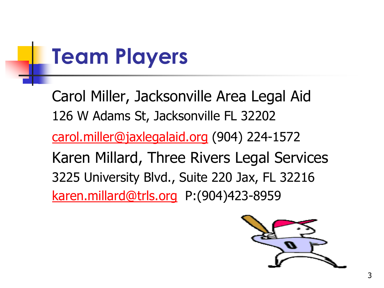## **Team Players**

Carol Miller, Jacksonville Area Legal Aid 126 W Adams St, Jacksonville FL 32202 [carol.miller@jaxlegalaid.org](mailto:carol.miller@jaxlegalaid.org) (904) 224-1572 Karen Millard, Three Rivers Legal Services 3225 University Blvd., Suite 220 Jax, FL 32216 [karen.millard@trls.org](mailto:karen.millard@trls.org) P:(904)423-8959

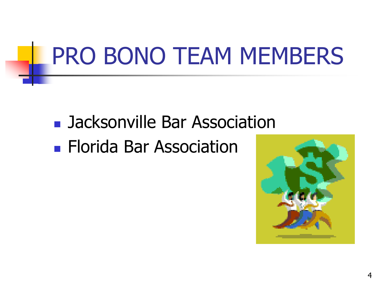## PRO BONO TEAM MEMBERS

# **Jacksonville Bar Association**

**Florida Bar Association** 

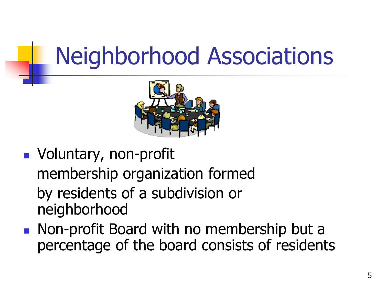## Neighborhood Associations



- **Noluntary, non-profit** membership organization formed by residents of a subdivision or neighborhood
- **Non-profit Board with no membership but a** percentage of the board consists of residents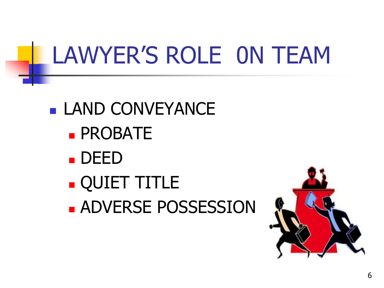## LAWYER'S ROLE 0N TEAM

- **LAND CONVEYANCE PROBATE** 
	- DEED
	- QUIET TITLE
	- **ADVERSE POSSESSION**

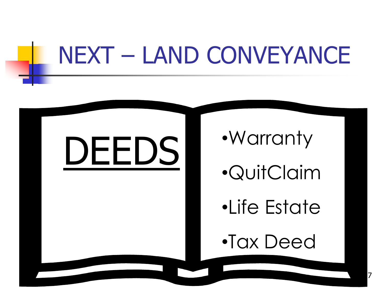## NEXT – LAND CONVEYANCE

# DEEDS

•Warranty

•QuitClaim

•Life Estate

•Tax Deed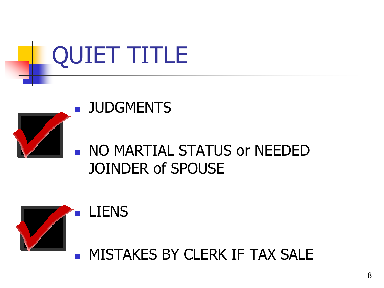

#### **JUDGMENTS**

LIENS



#### **NO MARTIAL STATUS or NEEDED** JOINDER of SPOUSE



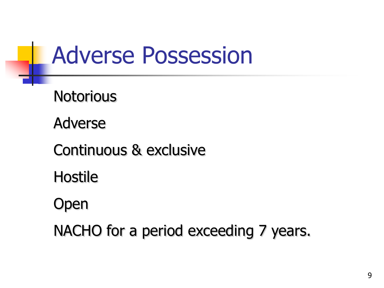## Adverse Possession

**Notorious** 

Adverse

Continuous & exclusive

Hostile

Open

NACHO for a period exceeding 7 years.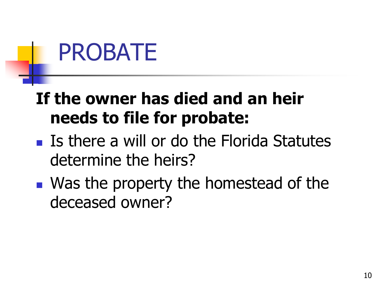# PROBATE

#### **If the owner has died and an heir needs to file for probate:**

- $\blacksquare$  Is there a will or do the Florida Statutes determine the heirs?
- Was the property the homestead of the deceased owner?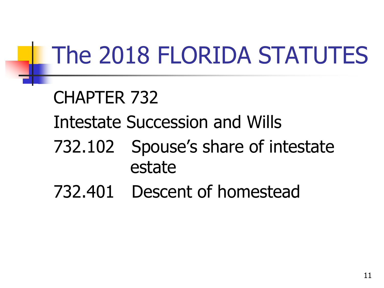## The 2018 FLORIDA STATUTES

## CHAPTER 732 Intestate Succession and Wills 732.102 Spouse's share of intestate estate

732.401 Descent of homestead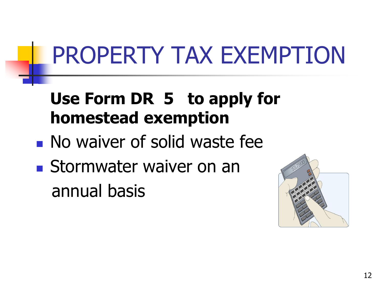# PROPERTY TAX EXEMPTION

#### **Use Form DR 5 to apply for homestead exemption**

- **No waiver of solid waste fee**
- Stormwater waiver on an annual basis

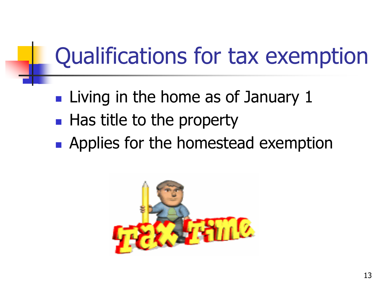## Qualifications for tax exemption

- $\blacksquare$  Living in the home as of January 1
- $\blacksquare$  Has title to the property
- **Applies for the homestead exemption**

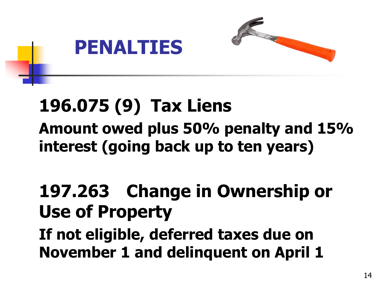

### **196.075 (9) Tax Liens**

#### **Amount owed plus 50% penalty and 15% interest (going back up to ten years)**

#### **197.263 Change in Ownership or Use of Property**

**If not eligible, deferred taxes due on November 1 and delinquent on April 1**